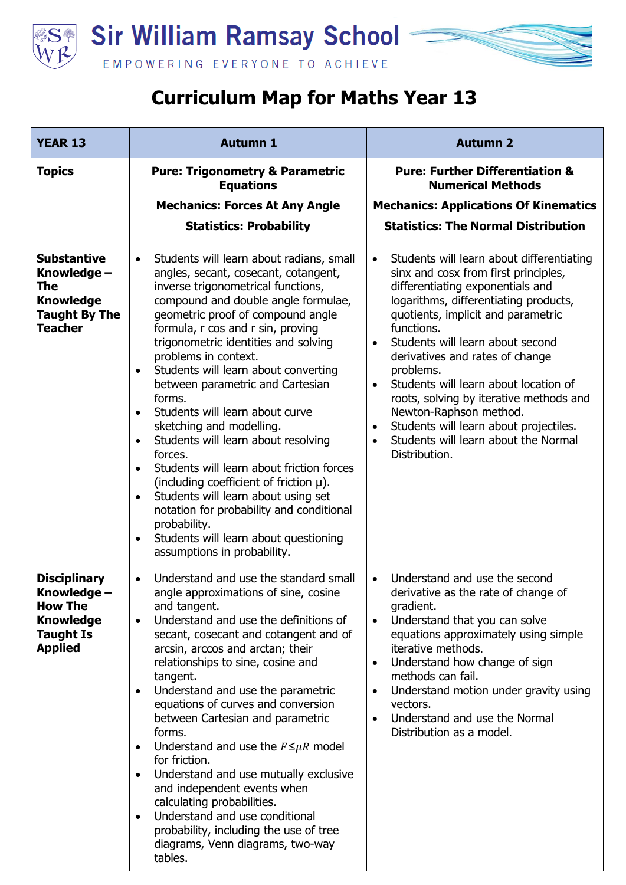



| <b>YEAR 13</b>                                                                                                 | <b>Autumn 1</b>                                                                                                                                                                                                                                                                                                                                                                                                                                                                                                                                                                                                                                                                                                                                                                                                                                        | <b>Autumn 2</b>                                                                                                                                                                                                                                                                                                                                                                                                                                                                                                                                                |
|----------------------------------------------------------------------------------------------------------------|--------------------------------------------------------------------------------------------------------------------------------------------------------------------------------------------------------------------------------------------------------------------------------------------------------------------------------------------------------------------------------------------------------------------------------------------------------------------------------------------------------------------------------------------------------------------------------------------------------------------------------------------------------------------------------------------------------------------------------------------------------------------------------------------------------------------------------------------------------|----------------------------------------------------------------------------------------------------------------------------------------------------------------------------------------------------------------------------------------------------------------------------------------------------------------------------------------------------------------------------------------------------------------------------------------------------------------------------------------------------------------------------------------------------------------|
| <b>Topics</b>                                                                                                  | <b>Pure: Trigonometry &amp; Parametric</b><br><b>Equations</b>                                                                                                                                                                                                                                                                                                                                                                                                                                                                                                                                                                                                                                                                                                                                                                                         | <b>Pure: Further Differentiation &amp;</b><br><b>Numerical Methods</b>                                                                                                                                                                                                                                                                                                                                                                                                                                                                                         |
|                                                                                                                | <b>Mechanics: Forces At Any Angle</b>                                                                                                                                                                                                                                                                                                                                                                                                                                                                                                                                                                                                                                                                                                                                                                                                                  | <b>Mechanics: Applications Of Kinematics</b>                                                                                                                                                                                                                                                                                                                                                                                                                                                                                                                   |
|                                                                                                                | <b>Statistics: Probability</b>                                                                                                                                                                                                                                                                                                                                                                                                                                                                                                                                                                                                                                                                                                                                                                                                                         | <b>Statistics: The Normal Distribution</b>                                                                                                                                                                                                                                                                                                                                                                                                                                                                                                                     |
| <b>Substantive</b><br>Knowledge –<br><b>The</b><br><b>Knowledge</b><br><b>Taught By The</b><br><b>Teacher</b>  | Students will learn about radians, small<br>$\bullet$<br>angles, secant, cosecant, cotangent,<br>inverse trigonometrical functions,<br>compound and double angle formulae,<br>geometric proof of compound angle<br>formula, r cos and r sin, proving<br>trigonometric identities and solving<br>problems in context.<br>Students will learn about converting<br>$\bullet$<br>between parametric and Cartesian<br>forms.<br>Students will learn about curve<br>sketching and modelling.<br>Students will learn about resolving<br>$\bullet$<br>forces.<br>Students will learn about friction forces<br>$\bullet$<br>(including coefficient of friction $\mu$ ).<br>Students will learn about using set<br>notation for probability and conditional<br>probability.<br>Students will learn about questioning<br>$\bullet$<br>assumptions in probability. | Students will learn about differentiating<br>$\bullet$<br>sinx and cosx from first principles,<br>differentiating exponentials and<br>logarithms, differentiating products,<br>quotients, implicit and parametric<br>functions.<br>Students will learn about second<br>$\bullet$<br>derivatives and rates of change<br>problems.<br>Students will learn about location of<br>roots, solving by iterative methods and<br>Newton-Raphson method.<br>Students will learn about projectiles.<br>$\bullet$<br>Students will learn about the Normal<br>Distribution. |
| <b>Disciplinary</b><br>Knowledge -<br><b>How The</b><br><b>Knowledge</b><br><b>Taught Is</b><br><b>Applied</b> | Understand and use the standard small<br>$\bullet$<br>angle approximations of sine, cosine<br>and tangent.<br>Understand and use the definitions of<br>$\bullet$<br>secant, cosecant and cotangent and of<br>arcsin, arccos and arctan; their<br>relationships to sine, cosine and<br>tangent.<br>Understand and use the parametric<br>$\bullet$<br>equations of curves and conversion<br>between Cartesian and parametric<br>forms.<br>Understand and use the $F \leq \mu R$ model<br>for friction.<br>Understand and use mutually exclusive<br>$\bullet$<br>and independent events when<br>calculating probabilities.<br>Understand and use conditional<br>$\bullet$<br>probability, including the use of tree<br>diagrams, Venn diagrams, two-way<br>tables.                                                                                        | Understand and use the second<br>$\bullet$<br>derivative as the rate of change of<br>gradient.<br>Understand that you can solve<br>$\bullet$<br>equations approximately using simple<br>iterative methods.<br>Understand how change of sign<br>$\bullet$<br>methods can fail.<br>Understand motion under gravity using<br>$\bullet$<br>vectors.<br>Understand and use the Normal<br>Distribution as a model.                                                                                                                                                   |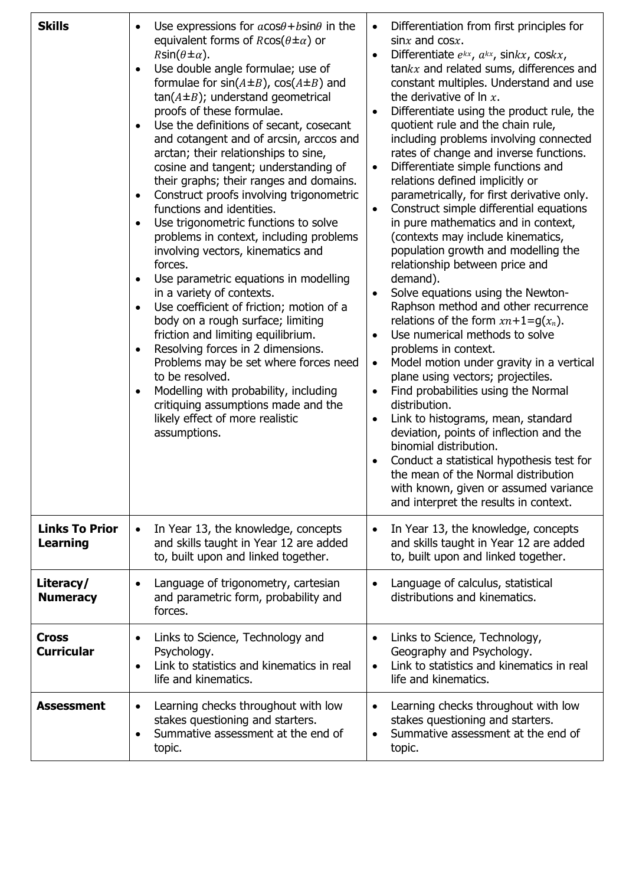| <b>Skills</b>                            | Use expressions for $a\cos\theta + b\sin\theta$ in the<br>equivalent forms of $R\cos(\theta \pm \alpha)$ or<br>$R\sin(\theta \pm \alpha)$ .<br>Use double angle formulae; use of<br>$\bullet$<br>formulae for $sin(A \pm B)$ , $cos(A \pm B)$ and<br>$tan(A \pm B)$ ; understand geometrical<br>proofs of these formulae.<br>Use the definitions of secant, cosecant<br>and cotangent and of arcsin, arccos and<br>arctan; their relationships to sine,<br>cosine and tangent; understanding of<br>their graphs; their ranges and domains.<br>Construct proofs involving trigonometric<br>$\bullet$<br>functions and identities.<br>Use trigonometric functions to solve<br>$\bullet$<br>problems in context, including problems<br>involving vectors, kinematics and<br>forces.<br>Use parametric equations in modelling<br>in a variety of contexts.<br>Use coefficient of friction; motion of a<br>body on a rough surface; limiting<br>friction and limiting equilibrium.<br>Resolving forces in 2 dimensions.<br>Problems may be set where forces need<br>to be resolved.<br>Modelling with probability, including<br>critiquing assumptions made and the<br>likely effect of more realistic<br>assumptions. | Differentiation from first principles for<br>$\bullet$<br>$\sin x$ and $\cos x$ .<br>Differentiate $e^{kx}$ , $a^{kx}$ , sin $kx$ , cos $kx$ ,<br>$\bullet$<br>$tankx$ and related sums, differences and<br>constant multiples. Understand and use<br>the derivative of $\ln x$ .<br>Differentiate using the product rule, the<br>quotient rule and the chain rule,<br>including problems involving connected<br>rates of change and inverse functions.<br>Differentiate simple functions and<br>$\bullet$<br>relations defined implicitly or<br>parametrically, for first derivative only.<br>Construct simple differential equations<br>$\bullet$<br>in pure mathematics and in context,<br>(contexts may include kinematics,<br>population growth and modelling the<br>relationship between price and<br>demand).<br>Solve equations using the Newton-<br>Raphson method and other recurrence<br>relations of the form $xn+1=g(x_n)$ .<br>Use numerical methods to solve<br>$\bullet$<br>problems in context.<br>Model motion under gravity in a vertical<br>$\bullet$<br>plane using vectors; projectiles.<br>Find probabilities using the Normal<br>$\bullet$<br>distribution.<br>Link to histograms, mean, standard<br>$\bullet$<br>deviation, points of inflection and the<br>binomial distribution.<br>Conduct a statistical hypothesis test for<br>$\bullet$<br>the mean of the Normal distribution<br>with known, given or assumed variance<br>and interpret the results in context. |
|------------------------------------------|-------------------------------------------------------------------------------------------------------------------------------------------------------------------------------------------------------------------------------------------------------------------------------------------------------------------------------------------------------------------------------------------------------------------------------------------------------------------------------------------------------------------------------------------------------------------------------------------------------------------------------------------------------------------------------------------------------------------------------------------------------------------------------------------------------------------------------------------------------------------------------------------------------------------------------------------------------------------------------------------------------------------------------------------------------------------------------------------------------------------------------------------------------------------------------------------------------------------|------------------------------------------------------------------------------------------------------------------------------------------------------------------------------------------------------------------------------------------------------------------------------------------------------------------------------------------------------------------------------------------------------------------------------------------------------------------------------------------------------------------------------------------------------------------------------------------------------------------------------------------------------------------------------------------------------------------------------------------------------------------------------------------------------------------------------------------------------------------------------------------------------------------------------------------------------------------------------------------------------------------------------------------------------------------------------------------------------------------------------------------------------------------------------------------------------------------------------------------------------------------------------------------------------------------------------------------------------------------------------------------------------------------------------------------------------------------------------------------------|
| <b>Links To Prior</b><br><b>Learning</b> | In Year 13, the knowledge, concepts<br>and skills taught in Year 12 are added<br>to, built upon and linked together.                                                                                                                                                                                                                                                                                                                                                                                                                                                                                                                                                                                                                                                                                                                                                                                                                                                                                                                                                                                                                                                                                              | In Year 13, the knowledge, concepts<br>$\bullet$<br>and skills taught in Year 12 are added<br>to, built upon and linked together.                                                                                                                                                                                                                                                                                                                                                                                                                                                                                                                                                                                                                                                                                                                                                                                                                                                                                                                                                                                                                                                                                                                                                                                                                                                                                                                                                              |
| Literacy/<br><b>Numeracy</b>             | Language of trigonometry, cartesian<br>and parametric form, probability and<br>forces.                                                                                                                                                                                                                                                                                                                                                                                                                                                                                                                                                                                                                                                                                                                                                                                                                                                                                                                                                                                                                                                                                                                            | Language of calculus, statistical<br>$\bullet$<br>distributions and kinematics.                                                                                                                                                                                                                                                                                                                                                                                                                                                                                                                                                                                                                                                                                                                                                                                                                                                                                                                                                                                                                                                                                                                                                                                                                                                                                                                                                                                                                |
| <b>Cross</b><br><b>Curricular</b>        | Links to Science, Technology and<br>$\bullet$<br>Psychology.<br>Link to statistics and kinematics in real<br>life and kinematics.                                                                                                                                                                                                                                                                                                                                                                                                                                                                                                                                                                                                                                                                                                                                                                                                                                                                                                                                                                                                                                                                                 | Links to Science, Technology,<br>$\bullet$<br>Geography and Psychology.<br>Link to statistics and kinematics in real<br>$\bullet$<br>life and kinematics.                                                                                                                                                                                                                                                                                                                                                                                                                                                                                                                                                                                                                                                                                                                                                                                                                                                                                                                                                                                                                                                                                                                                                                                                                                                                                                                                      |
| <b>Assessment</b>                        | Learning checks throughout with low<br>$\bullet$<br>stakes questioning and starters.<br>Summative assessment at the end of<br>$\bullet$<br>topic.                                                                                                                                                                                                                                                                                                                                                                                                                                                                                                                                                                                                                                                                                                                                                                                                                                                                                                                                                                                                                                                                 | Learning checks throughout with low<br>$\bullet$<br>stakes questioning and starters.<br>Summative assessment at the end of<br>٠<br>topic.                                                                                                                                                                                                                                                                                                                                                                                                                                                                                                                                                                                                                                                                                                                                                                                                                                                                                                                                                                                                                                                                                                                                                                                                                                                                                                                                                      |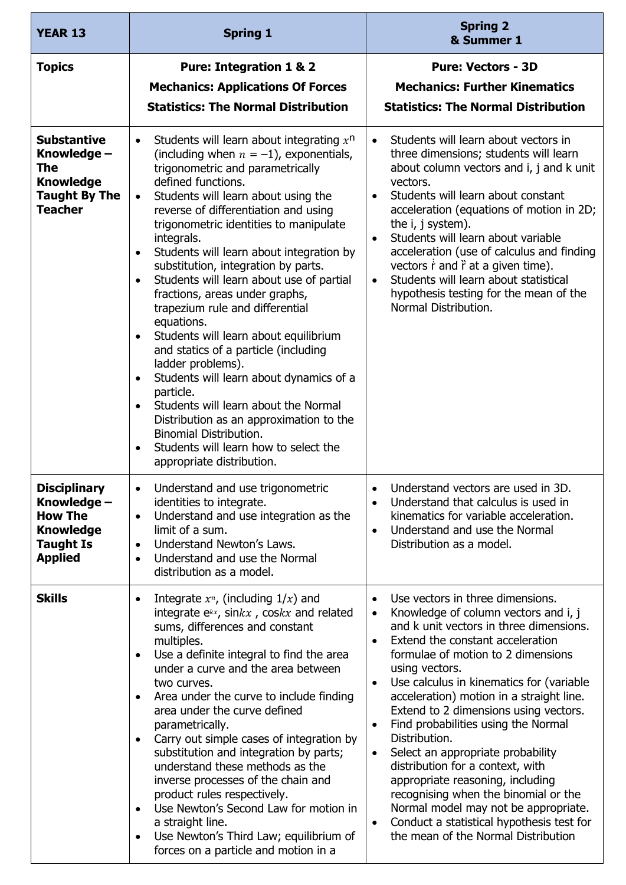| <b>YEAR 13</b>                                                                                                 | <b>Spring 1</b>                                                                                                                                                                                                                                                                                                                                                                                                                                                                                                                                                                                                                                                                                                                                                                                                                                                                                                                                                             | <b>Spring 2</b><br>& Summer 1                                                                                                                                                                                                                                                                                                                                                                                                                                                                                                                                                                                                                                                                                                                                                        |
|----------------------------------------------------------------------------------------------------------------|-----------------------------------------------------------------------------------------------------------------------------------------------------------------------------------------------------------------------------------------------------------------------------------------------------------------------------------------------------------------------------------------------------------------------------------------------------------------------------------------------------------------------------------------------------------------------------------------------------------------------------------------------------------------------------------------------------------------------------------------------------------------------------------------------------------------------------------------------------------------------------------------------------------------------------------------------------------------------------|--------------------------------------------------------------------------------------------------------------------------------------------------------------------------------------------------------------------------------------------------------------------------------------------------------------------------------------------------------------------------------------------------------------------------------------------------------------------------------------------------------------------------------------------------------------------------------------------------------------------------------------------------------------------------------------------------------------------------------------------------------------------------------------|
| <b>Topics</b>                                                                                                  | <b>Pure: Integration 1 &amp; 2</b><br><b>Mechanics: Applications Of Forces</b><br><b>Statistics: The Normal Distribution</b>                                                                                                                                                                                                                                                                                                                                                                                                                                                                                                                                                                                                                                                                                                                                                                                                                                                | <b>Pure: Vectors - 3D</b><br><b>Mechanics: Further Kinematics</b><br><b>Statistics: The Normal Distribution</b>                                                                                                                                                                                                                                                                                                                                                                                                                                                                                                                                                                                                                                                                      |
| <b>Substantive</b><br>Knowledge -<br><b>The</b><br><b>Knowledge</b><br><b>Taught By The</b><br><b>Teacher</b>  | Students will learn about integrating $x^n$<br>$\bullet$<br>(including when $n = -1$ ), exponentials,<br>trigonometric and parametrically<br>defined functions.<br>Students will learn about using the<br>$\bullet$<br>reverse of differentiation and using<br>trigonometric identities to manipulate<br>integrals.<br>Students will learn about integration by<br>$\bullet$<br>substitution, integration by parts.<br>Students will learn about use of partial<br>$\bullet$<br>fractions, areas under graphs,<br>trapezium rule and differential<br>equations.<br>Students will learn about equilibrium<br>$\bullet$<br>and statics of a particle (including<br>ladder problems).<br>Students will learn about dynamics of a<br>$\bullet$<br>particle.<br>Students will learn about the Normal<br>$\bullet$<br>Distribution as an approximation to the<br><b>Binomial Distribution.</b><br>Students will learn how to select the<br>$\bullet$<br>appropriate distribution. | Students will learn about vectors in<br>$\bullet$<br>three dimensions; students will learn<br>about column vectors and i, j and k unit<br>vectors.<br>Students will learn about constant<br>$\bullet$<br>acceleration (equations of motion in 2D;<br>the i, j system).<br>Students will learn about variable<br>$\bullet$<br>acceleration (use of calculus and finding<br>vectors $\dot{r}$ and $\ddot{r}$ at a given time).<br>Students will learn about statistical<br>$\bullet$<br>hypothesis testing for the mean of the<br>Normal Distribution.                                                                                                                                                                                                                                 |
| <b>Disciplinary</b><br>Knowledge -<br><b>How The</b><br><b>Knowledge</b><br><b>Taught Is</b><br><b>Applied</b> | Understand and use trigonometric<br>$\bullet$<br>identities to integrate.<br>Understand and use integration as the<br>$\bullet$<br>limit of a sum.<br>Understand Newton's Laws.<br>$\bullet$<br>Understand and use the Normal<br>$\bullet$<br>distribution as a model.                                                                                                                                                                                                                                                                                                                                                                                                                                                                                                                                                                                                                                                                                                      | Understand vectors are used in 3D.<br>$\bullet$<br>Understand that calculus is used in<br>kinematics for variable acceleration.<br>Understand and use the Normal<br>$\bullet$<br>Distribution as a model.                                                                                                                                                                                                                                                                                                                                                                                                                                                                                                                                                                            |
| <b>Skills</b>                                                                                                  | Integrate $x^n$ , (including $1/x$ ) and<br>$\bullet$<br>integrate $e^{kx}$ , sin $kx$ , cos $kx$ and related<br>sums, differences and constant<br>multiples.<br>Use a definite integral to find the area<br>$\bullet$<br>under a curve and the area between<br>two curves.<br>Area under the curve to include finding<br>$\bullet$<br>area under the curve defined<br>parametrically.<br>Carry out simple cases of integration by<br>$\bullet$<br>substitution and integration by parts;<br>understand these methods as the<br>inverse processes of the chain and<br>product rules respectively.<br>Use Newton's Second Law for motion in<br>$\bullet$<br>a straight line.<br>Use Newton's Third Law; equilibrium of<br>$\bullet$<br>forces on a particle and motion in a                                                                                                                                                                                                  | Use vectors in three dimensions.<br>$\bullet$<br>Knowledge of column vectors and i, j<br>$\bullet$<br>and k unit vectors in three dimensions.<br>Extend the constant acceleration<br>$\bullet$<br>formulae of motion to 2 dimensions<br>using vectors.<br>Use calculus in kinematics for (variable<br>$\bullet$<br>acceleration) motion in a straight line.<br>Extend to 2 dimensions using vectors.<br>Find probabilities using the Normal<br>$\bullet$<br>Distribution.<br>Select an appropriate probability<br>$\bullet$<br>distribution for a context, with<br>appropriate reasoning, including<br>recognising when the binomial or the<br>Normal model may not be appropriate.<br>Conduct a statistical hypothesis test for<br>$\bullet$<br>the mean of the Normal Distribution |